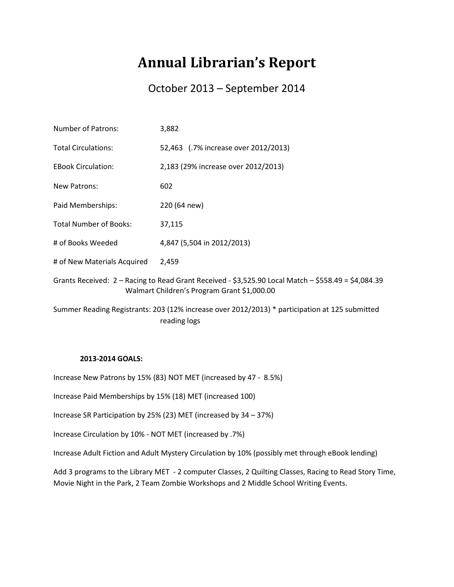## **Annual Librarian's Report**

## October 2013 – September 2014

| <b>Number of Patrons:</b>     | 3,882                                                                                                                                                  |
|-------------------------------|--------------------------------------------------------------------------------------------------------------------------------------------------------|
| <b>Total Circulations:</b>    | 52,463 (.7% increase over 2012/2013)                                                                                                                   |
| <b>EBook Circulation:</b>     | 2,183 (29% increase over 2012/2013)                                                                                                                    |
| New Patrons:                  | 602                                                                                                                                                    |
| Paid Memberships:             | 220 (64 new)                                                                                                                                           |
| <b>Total Number of Books:</b> | 37,115                                                                                                                                                 |
| # of Books Weeded             | 4,847 (5,504 in 2012/2013)                                                                                                                             |
| # of New Materials Acquired   | 2,459                                                                                                                                                  |
|                               | Grants Received: $2 -$ Racing to Read Grant Received - \$3,525.90 Local Match $-$ \$558.49 = \$4,084.39<br>Walmart Children's Program Grant \$1,000.00 |
|                               | Summer Reading Registrants: 203 (12% increase over 2012/2013) * participation at 125 submitted<br>reading logs                                         |

## **2013-2014 GOALS:**

Increase New Patrons by 15% (83) NOT MET (increased by 47 - 8.5%)

Increase Paid Memberships by 15% (18) MET (increased 100)

Increase SR Participation by 25% (23) MET (increased by 34 – 37%)

Increase Circulation by 10% - NOT MET (increased by .7%)

Increase Adult Fiction and Adult Mystery Circulation by 10% (possibly met through eBook lending)

Add 3 programs to the Library MET - 2 computer Classes, 2 Quilting Classes, Racing to Read Story Time, Movie Night in the Park, 2 Team Zombie Workshops and 2 Middle School Writing Events.